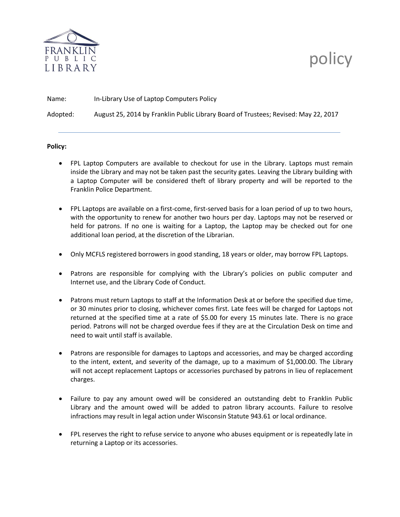

## policy

| Name:    | In-Library Use of Laptop Computers Policy                                           |
|----------|-------------------------------------------------------------------------------------|
| Adopted: | August 25, 2014 by Franklin Public Library Board of Trustees; Revised: May 22, 2017 |

## **Policy:**

- FPL Laptop Computers are available to checkout for use in the Library. Laptops must remain inside the Library and may not be taken past the security gates. Leaving the Library building with a Laptop Computer will be considered theft of library property and will be reported to the Franklin Police Department.
- FPL Laptops are available on a first-come, first-served basis for a loan period of up to two hours, with the opportunity to renew for another two hours per day. Laptops may not be reserved or held for patrons. If no one is waiting for a Laptop, the Laptop may be checked out for one additional loan period, at the discretion of the Librarian.
- Only MCFLS registered borrowers in good standing, 18 years or older, may borrow FPL Laptops.
- Patrons are responsible for complying with the Library's policies on public computer and Internet use, and the Library Code of Conduct.
- Patrons must return Laptops to staff at the Information Desk at or before the specified due time, or 30 minutes prior to closing, whichever comes first. Late fees will be charged for Laptops not returned at the specified time at a rate of \$5.00 for every 15 minutes late. There is no grace period. Patrons will not be charged overdue fees if they are at the Circulation Desk on time and need to wait until staff is available.
- Patrons are responsible for damages to Laptops and accessories, and may be charged according to the intent, extent, and severity of the damage, up to a maximum of \$1,000.00. The Library will not accept replacement Laptops or accessories purchased by patrons in lieu of replacement charges.
- Failure to pay any amount owed will be considered an outstanding debt to Franklin Public Library and the amount owed will be added to patron library accounts. Failure to resolve infractions may result in legal action under Wisconsin Statute 943.61 or local ordinance.
- FPL reserves the right to refuse service to anyone who abuses equipment or is repeatedly late in returning a Laptop or its accessories.